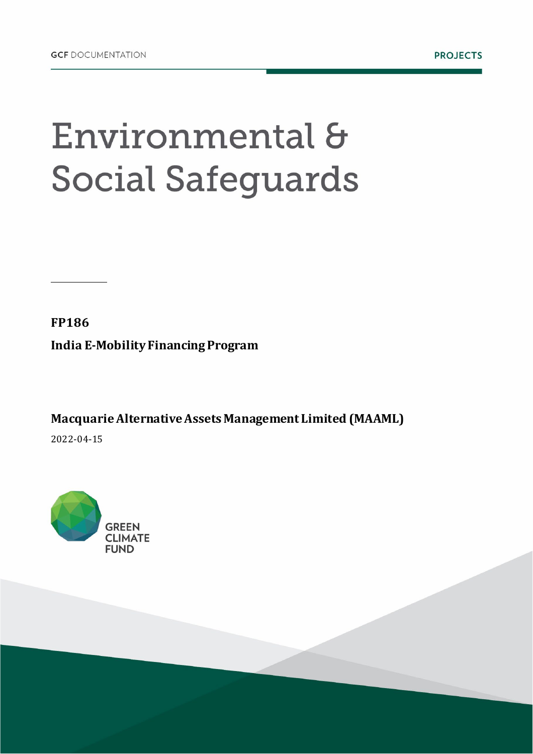## Environmental & **Social Safeguards**

**FP186 India E-Mobility Financing Program**

**Macquarie Alternative Assets Management Limited (MAAML)** 2022-04-15

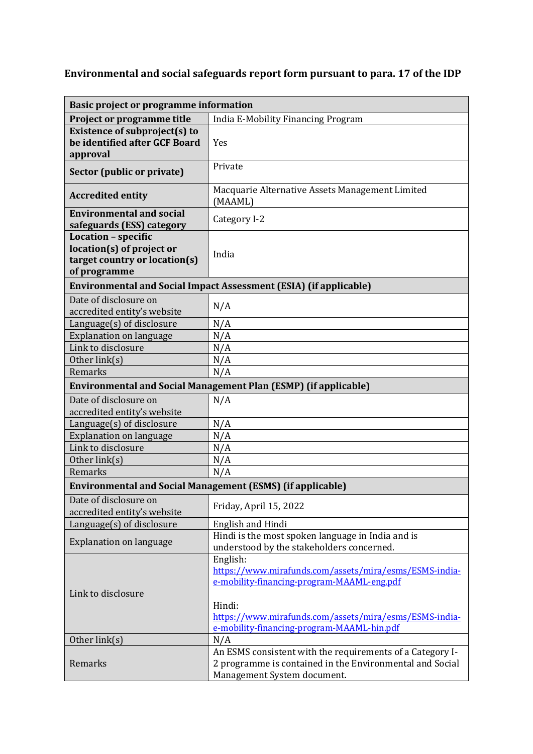## **Environmental and social safeguards report form pursuant to para. 17 of the IDP**

| <b>Basic project or programme information</b>                                                            |                                                                                                                                                                                                                                    |
|----------------------------------------------------------------------------------------------------------|------------------------------------------------------------------------------------------------------------------------------------------------------------------------------------------------------------------------------------|
| Project or programme title                                                                               | India E-Mobility Financing Program                                                                                                                                                                                                 |
| Existence of subproject(s) to<br>be identified after GCF Board<br>approval                               | Yes                                                                                                                                                                                                                                |
| Sector (public or private)                                                                               | Private                                                                                                                                                                                                                            |
| <b>Accredited entity</b>                                                                                 | Macquarie Alternative Assets Management Limited<br>(MAAML)                                                                                                                                                                         |
| <b>Environmental and social</b><br>safeguards (ESS) category                                             | Category I-2                                                                                                                                                                                                                       |
| <b>Location - specific</b><br>location(s) of project or<br>target country or location(s)<br>of programme | India                                                                                                                                                                                                                              |
| <b>Environmental and Social Impact Assessment (ESIA) (if applicable)</b>                                 |                                                                                                                                                                                                                                    |
| Date of disclosure on<br>accredited entity's website                                                     | N/A                                                                                                                                                                                                                                |
| Language(s) of disclosure                                                                                | N/A                                                                                                                                                                                                                                |
| <b>Explanation on language</b>                                                                           | N/A                                                                                                                                                                                                                                |
| Link to disclosure                                                                                       | N/A                                                                                                                                                                                                                                |
| Other link(s)                                                                                            | N/A                                                                                                                                                                                                                                |
| Remarks                                                                                                  | N/A                                                                                                                                                                                                                                |
| <b>Environmental and Social Management Plan (ESMP) (if applicable)</b>                                   |                                                                                                                                                                                                                                    |
| Date of disclosure on<br>accredited entity's website                                                     | N/A                                                                                                                                                                                                                                |
| $L$ anguage $(s)$ of disclosure                                                                          | N/A                                                                                                                                                                                                                                |
| <b>Explanation on language</b>                                                                           | N/A                                                                                                                                                                                                                                |
| Link to disclosure                                                                                       | N/A                                                                                                                                                                                                                                |
| Other link(s)                                                                                            | N/A                                                                                                                                                                                                                                |
| Remarks                                                                                                  | N/A                                                                                                                                                                                                                                |
| <b>Environmental and Social Management (ESMS) (if applicable)</b>                                        |                                                                                                                                                                                                                                    |
| Date of disclosure on<br>accredited entity's website                                                     | Friday, April 15, 2022                                                                                                                                                                                                             |
| Language(s) of disclosure                                                                                | English and Hindi                                                                                                                                                                                                                  |
| <b>Explanation on language</b>                                                                           | Hindi is the most spoken language in India and is<br>understood by the stakeholders concerned.                                                                                                                                     |
| Link to disclosure                                                                                       | English:<br>https://www.mirafunds.com/assets/mira/esms/ESMS-india-<br>e-mobility-financing-program-MAAML-eng.pdf<br>Hindi:<br>https://www.mirafunds.com/assets/mira/esms/ESMS-india-<br>e-mobility-financing-program-MAAML-hin.pdf |
| Other link(s)                                                                                            | N/A                                                                                                                                                                                                                                |
| Remarks                                                                                                  | An ESMS consistent with the requirements of a Category I-<br>2 programme is contained in the Environmental and Social<br>Management System document.                                                                               |